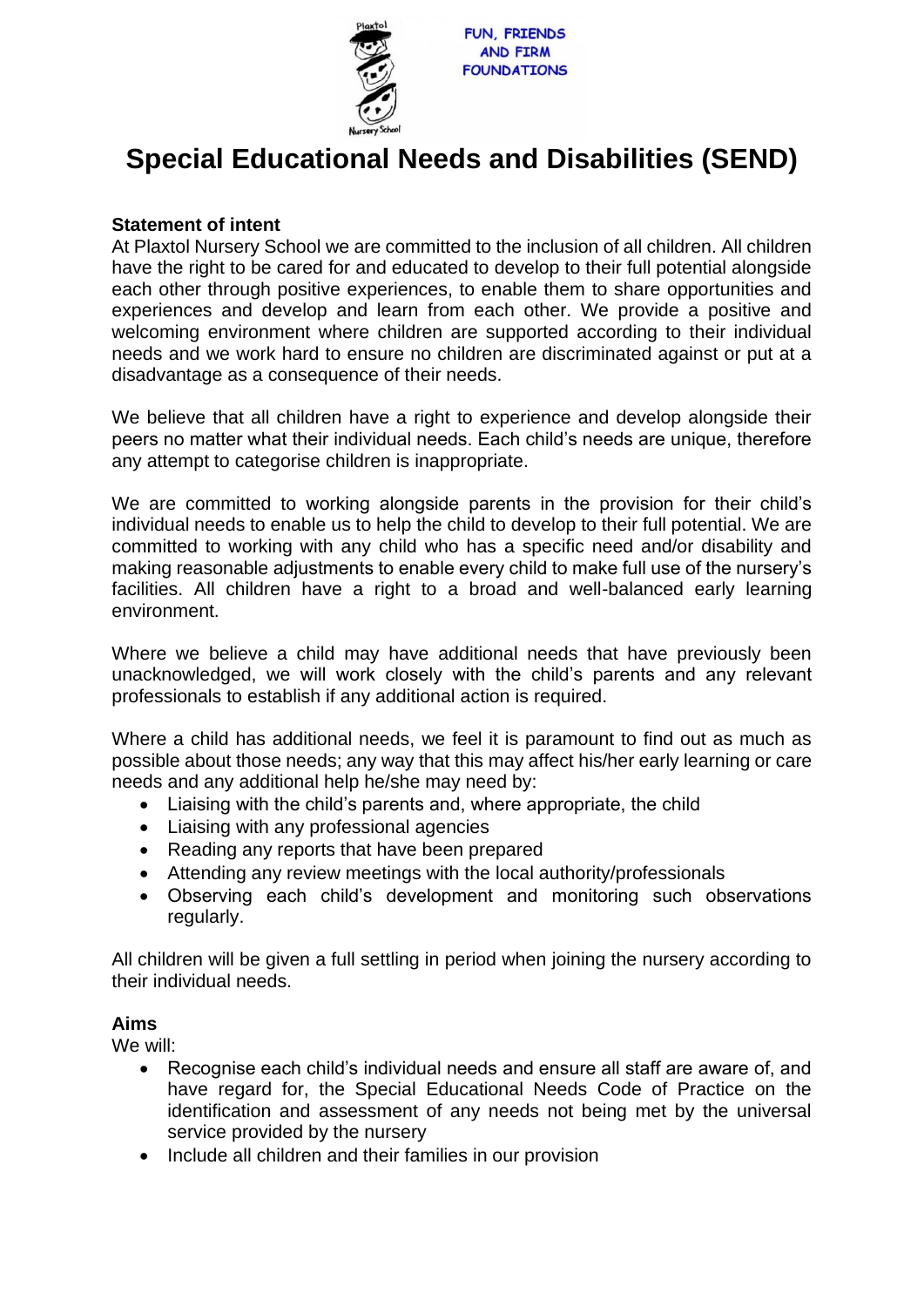

# **Special Educational Needs and Disabilities (SEND)**

# **Statement of intent**

At Plaxtol Nursery School we are committed to the inclusion of all children. All children have the right to be cared for and educated to develop to their full potential alongside each other through positive experiences, to enable them to share opportunities and experiences and develop and learn from each other. We provide a positive and welcoming environment where children are supported according to their individual needs and we work hard to ensure no children are discriminated against or put at a disadvantage as a consequence of their needs.

We believe that all children have a right to experience and develop alongside their peers no matter what their individual needs. Each child's needs are unique, therefore any attempt to categorise children is inappropriate.

We are committed to working alongside parents in the provision for their child's individual needs to enable us to help the child to develop to their full potential. We are committed to working with any child who has a specific need and/or disability and making reasonable adjustments to enable every child to make full use of the nursery's facilities. All children have a right to a broad and well-balanced early learning environment.

Where we believe a child may have additional needs that have previously been unacknowledged, we will work closely with the child's parents and any relevant professionals to establish if any additional action is required.

Where a child has additional needs, we feel it is paramount to find out as much as possible about those needs; any way that this may affect his/her early learning or care needs and any additional help he/she may need by:

- Liaising with the child's parents and, where appropriate, the child
- Liaising with any professional agencies
- Reading any reports that have been prepared
- Attending any review meetings with the local authority/professionals
- Observing each child's development and monitoring such observations regularly.

All children will be given a full settling in period when joining the nursery according to their individual needs.

# **Aims**

We will:

- Recognise each child's individual needs and ensure all staff are aware of, and have regard for, the Special Educational Needs Code of Practice on the identification and assessment of any needs not being met by the universal service provided by the nursery
- Include all children and their families in our provision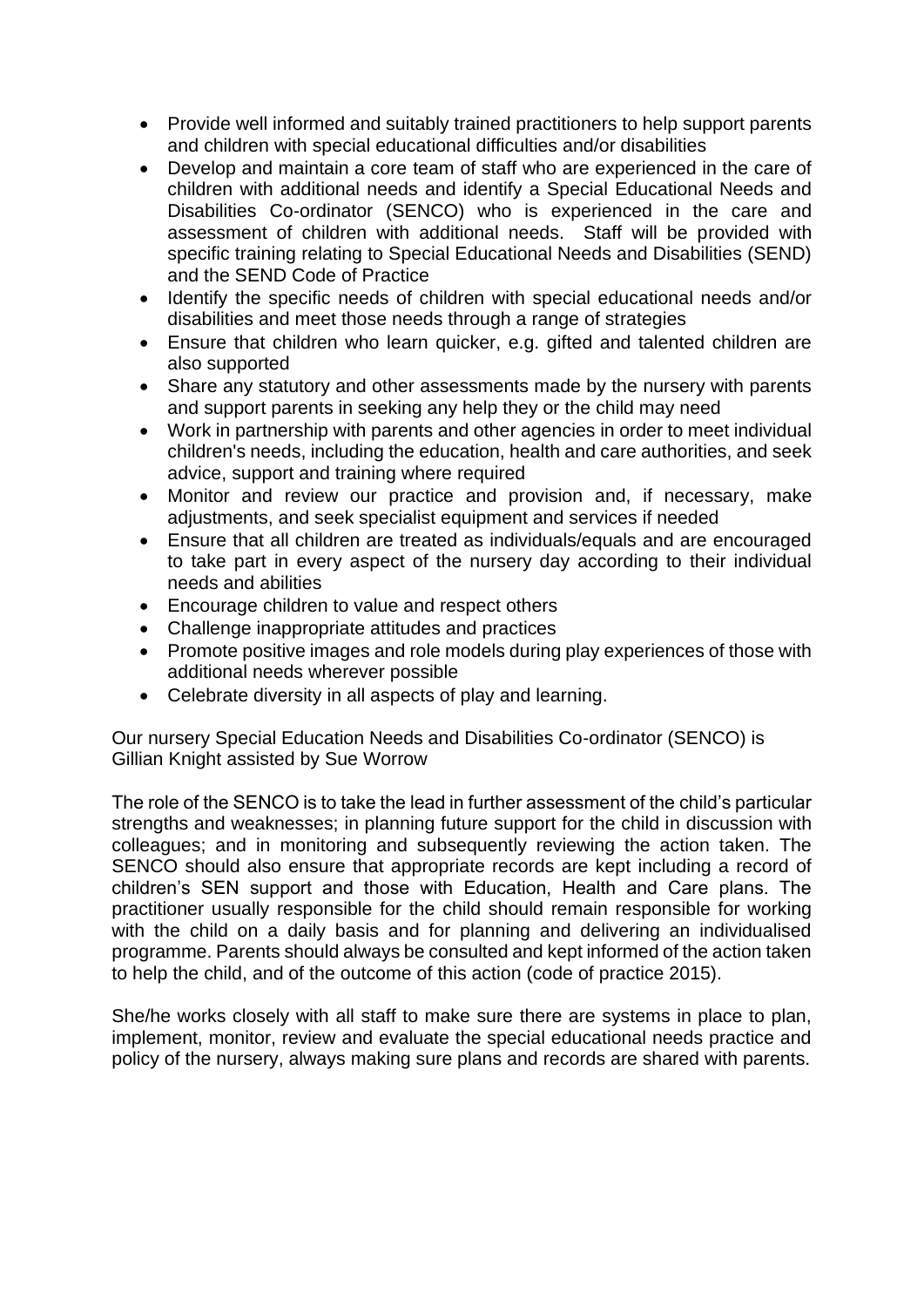- Provide well informed and suitably trained practitioners to help support parents and children with special educational difficulties and/or disabilities
- Develop and maintain a core team of staff who are experienced in the care of children with additional needs and identify a Special Educational Needs and Disabilities Co-ordinator (SENCO) who is experienced in the care and assessment of children with additional needs. Staff will be provided with specific training relating to Special Educational Needs and Disabilities (SEND) and the SEND Code of Practice
- Identify the specific needs of children with special educational needs and/or disabilities and meet those needs through a range of strategies
- Ensure that children who learn quicker, e.g. gifted and talented children are also supported
- Share any statutory and other assessments made by the nursery with parents and support parents in seeking any help they or the child may need
- Work in partnership with parents and other agencies in order to meet individual children's needs, including the education, health and care authorities, and seek advice, support and training where required
- Monitor and review our practice and provision and, if necessary, make adjustments, and seek specialist equipment and services if needed
- Ensure that all children are treated as individuals/equals and are encouraged to take part in every aspect of the nursery day according to their individual needs and abilities
- Encourage children to value and respect others
- Challenge inappropriate attitudes and practices
- Promote positive images and role models during play experiences of those with additional needs wherever possible
- Celebrate diversity in all aspects of play and learning.

Our nursery Special Education Needs and Disabilities Co-ordinator (SENCO) is Gillian Knight assisted by Sue Worrow

The role of the SENCO is to take the lead in further assessment of the child's particular strengths and weaknesses; in planning future support for the child in discussion with colleagues; and in monitoring and subsequently reviewing the action taken. The SENCO should also ensure that appropriate records are kept including a record of children's SEN support and those with Education, Health and Care plans. The practitioner usually responsible for the child should remain responsible for working with the child on a daily basis and for planning and delivering an individualised programme. Parents should always be consulted and kept informed of the action taken to help the child, and of the outcome of this action (code of practice 2015).

She/he works closely with all staff to make sure there are systems in place to plan, implement, monitor, review and evaluate the special educational needs practice and policy of the nursery, always making sure plans and records are shared with parents.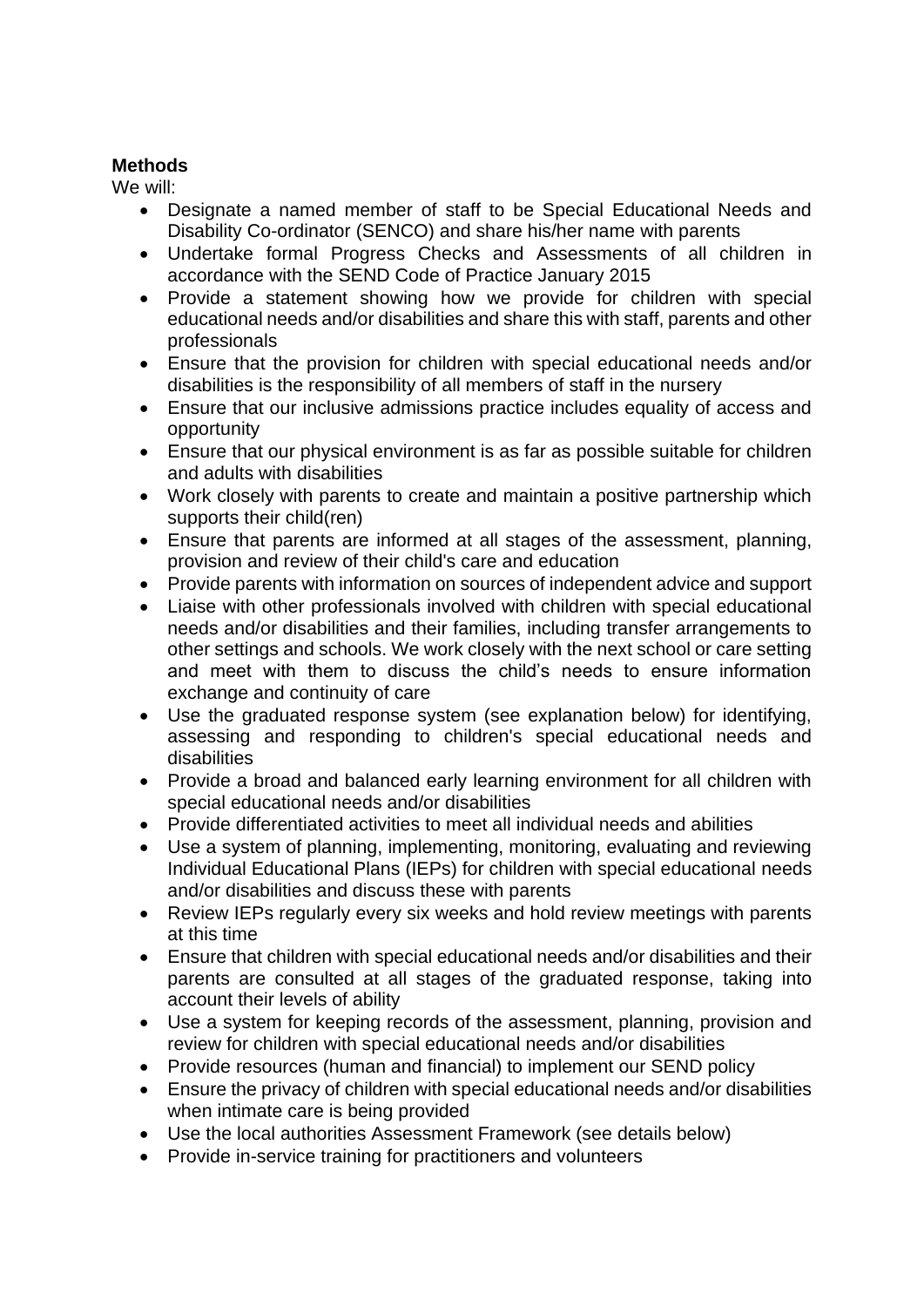## **Methods**

We will:

- Designate a named member of staff to be Special Educational Needs and Disability Co-ordinator (SENCO) and share his/her name with parents
- Undertake formal Progress Checks and Assessments of all children in accordance with the SEND Code of Practice January 2015
- Provide a statement showing how we provide for children with special educational needs and/or disabilities and share this with staff, parents and other professionals
- Ensure that the provision for children with special educational needs and/or disabilities is the responsibility of all members of staff in the nursery
- Ensure that our inclusive admissions practice includes equality of access and opportunity
- Ensure that our physical environment is as far as possible suitable for children and adults with disabilities
- Work closely with parents to create and maintain a positive partnership which supports their child(ren)
- Ensure that parents are informed at all stages of the assessment, planning, provision and review of their child's care and education
- Provide parents with information on sources of independent advice and support
- Liaise with other professionals involved with children with special educational needs and/or disabilities and their families, including transfer arrangements to other settings and schools. We work closely with the next school or care setting and meet with them to discuss the child's needs to ensure information exchange and continuity of care
- Use the graduated response system (see explanation below) for identifying, assessing and responding to children's special educational needs and disabilities
- Provide a broad and balanced early learning environment for all children with special educational needs and/or disabilities
- Provide differentiated activities to meet all individual needs and abilities
- Use a system of planning, implementing, monitoring, evaluating and reviewing Individual Educational Plans (IEPs) for children with special educational needs and/or disabilities and discuss these with parents
- Review IEPs regularly every six weeks and hold review meetings with parents at this time
- Ensure that children with special educational needs and/or disabilities and their parents are consulted at all stages of the graduated response, taking into account their levels of ability
- Use a system for keeping records of the assessment, planning, provision and review for children with special educational needs and/or disabilities
- Provide resources (human and financial) to implement our SEND policy
- Ensure the privacy of children with special educational needs and/or disabilities when intimate care is being provided
- Use the local authorities Assessment Framework (see details below)
- Provide in-service training for practitioners and volunteers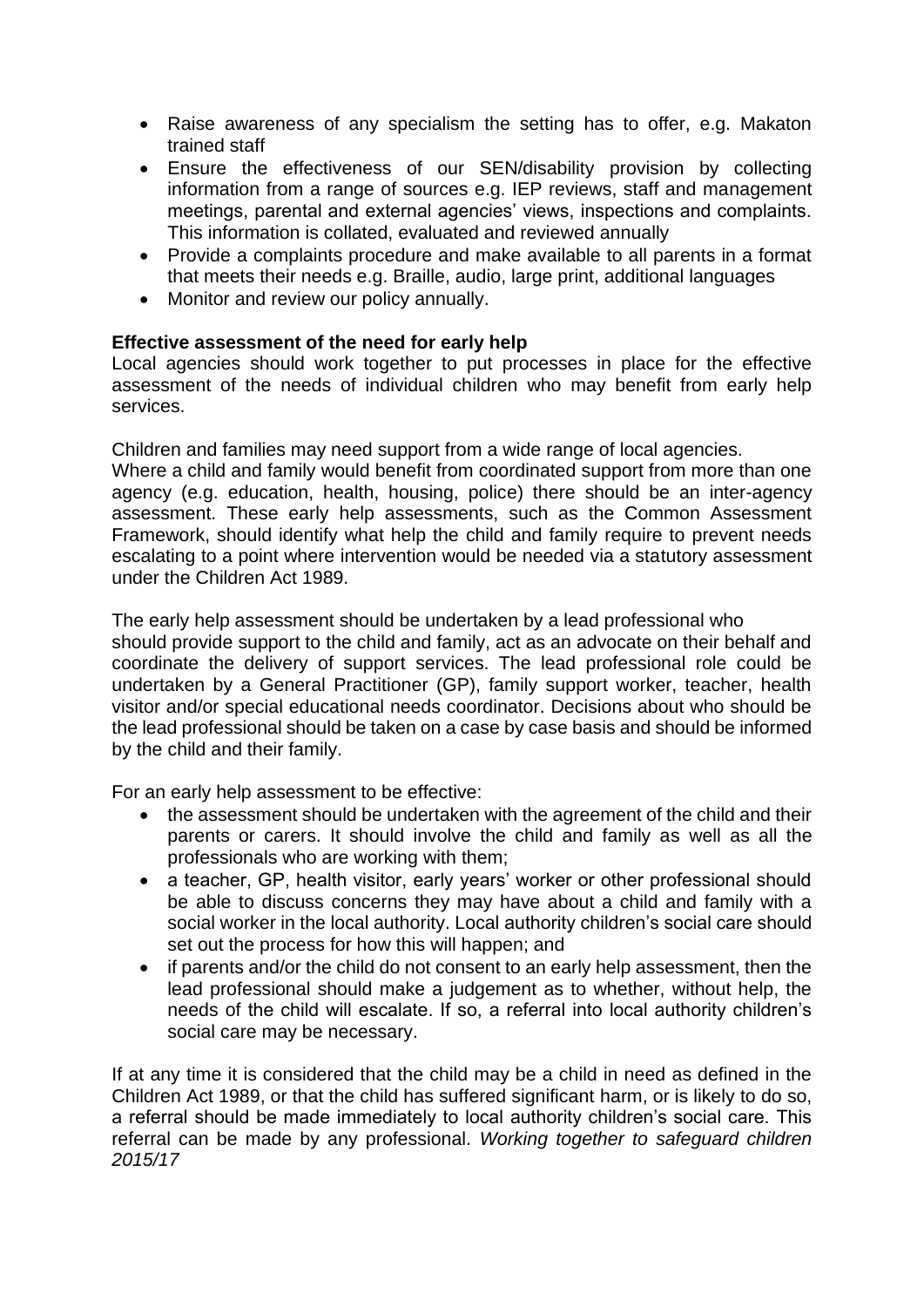- Raise awareness of any specialism the setting has to offer, e.g. Makaton trained staff
- Ensure the effectiveness of our SEN/disability provision by collecting information from a range of sources e.g. IEP reviews, staff and management meetings, parental and external agencies' views, inspections and complaints. This information is collated, evaluated and reviewed annually
- Provide a complaints procedure and make available to all parents in a format that meets their needs e.g. Braille, audio, large print, additional languages
- Monitor and review our policy annually.

## **Effective assessment of the need for early help**

Local agencies should work together to put processes in place for the effective assessment of the needs of individual children who may benefit from early help services.

Children and families may need support from a wide range of local agencies.

Where a child and family would benefit from coordinated support from more than one agency (e.g. education, health, housing, police) there should be an inter-agency assessment. These early help assessments, such as the Common Assessment Framework, should identify what help the child and family require to prevent needs escalating to a point where intervention would be needed via a statutory assessment under the Children Act 1989.

The early help assessment should be undertaken by a lead professional who should provide support to the child and family, act as an advocate on their behalf and coordinate the delivery of support services. The lead professional role could be undertaken by a General Practitioner (GP), family support worker, teacher, health visitor and/or special educational needs coordinator. Decisions about who should be the lead professional should be taken on a case by case basis and should be informed by the child and their family.

For an early help assessment to be effective:

- the assessment should be undertaken with the agreement of the child and their parents or carers. It should involve the child and family as well as all the professionals who are working with them;
- a teacher, GP, health visitor, early years' worker or other professional should be able to discuss concerns they may have about a child and family with a social worker in the local authority. Local authority children's social care should set out the process for how this will happen; and
- if parents and/or the child do not consent to an early help assessment, then the lead professional should make a judgement as to whether, without help, the needs of the child will escalate. If so, a referral into local authority children's social care may be necessary.

If at any time it is considered that the child may be a child in need as defined in the Children Act 1989, or that the child has suffered significant harm, or is likely to do so, a referral should be made immediately to local authority children's social care. This referral can be made by any professional. *Working together to safeguard children 2015/17*